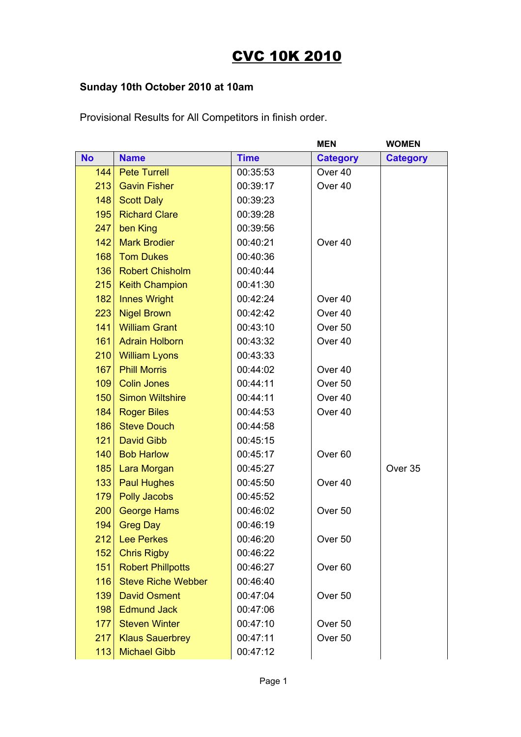## CVC 10K 2010

## **Sunday 10th October 2010 at 10am**

|           |                           |             | <b>MEN</b>         | <b>WOMEN</b>    |
|-----------|---------------------------|-------------|--------------------|-----------------|
| <b>No</b> | <b>Name</b>               | <b>Time</b> | <b>Category</b>    | <b>Category</b> |
| 144       | <b>Pete Turrell</b>       | 00:35:53    | Over <sub>40</sub> |                 |
| 213       | <b>Gavin Fisher</b>       | 00:39:17    | Over 40            |                 |
| 148       | <b>Scott Daly</b>         | 00:39:23    |                    |                 |
| 195       | <b>Richard Clare</b>      | 00:39:28    |                    |                 |
| 247       | ben King                  | 00:39:56    |                    |                 |
| 142       | <b>Mark Brodier</b>       | 00:40:21    | Over 40            |                 |
| 168       | <b>Tom Dukes</b>          | 00:40:36    |                    |                 |
| 136       | <b>Robert Chisholm</b>    | 00:40:44    |                    |                 |
| 215       | <b>Keith Champion</b>     | 00:41:30    |                    |                 |
| 182       | <b>Innes Wright</b>       | 00:42:24    | Over <sub>40</sub> |                 |
| 223       | <b>Nigel Brown</b>        | 00:42:42    | Over 40            |                 |
| 141       | <b>William Grant</b>      | 00:43:10    | Over 50            |                 |
| 161       | <b>Adrain Holborn</b>     | 00:43:32    | Over 40            |                 |
| 210       | <b>William Lyons</b>      | 00:43:33    |                    |                 |
| 167       | <b>Phill Morris</b>       | 00:44:02    | Over 40            |                 |
| 109       | <b>Colin Jones</b>        | 00:44:11    | Over <sub>50</sub> |                 |
| 150       | <b>Simon Wiltshire</b>    | 00:44:11    | Over 40            |                 |
| 184       | <b>Roger Biles</b>        | 00:44:53    | Over 40            |                 |
| 186       | <b>Steve Douch</b>        | 00:44:58    |                    |                 |
| 121       | David Gibb                | 00:45:15    |                    |                 |
| 140       | <b>Bob Harlow</b>         | 00:45:17    | Over <sub>60</sub> |                 |
| 185       | Lara Morgan               | 00:45:27    |                    | Over 35         |
| 133       | <b>Paul Hughes</b>        | 00:45:50    | Over 40            |                 |
| 179       | <b>Polly Jacobs</b>       | 00:45:52    |                    |                 |
| 200       | <b>George Hams</b>        | 00:46:02    | Over 50            |                 |
| 194       | <b>Greg Day</b>           | 00:46:19    |                    |                 |
| 212       | <b>Lee Perkes</b>         | 00:46:20    | Over <sub>50</sub> |                 |
| 152       | <b>Chris Rigby</b>        | 00:46:22    |                    |                 |
| 151       | <b>Robert Phillpotts</b>  | 00:46:27    | Over <sub>60</sub> |                 |
| 116       | <b>Steve Riche Webber</b> | 00:46:40    |                    |                 |
| 139       | <b>David Osment</b>       | 00:47:04    | Over 50            |                 |
| 198       | <b>Edmund Jack</b>        | 00:47:06    |                    |                 |
| 177       | <b>Steven Winter</b>      | 00:47:10    | Over 50            |                 |
| 217       | <b>Klaus Sauerbrey</b>    | 00:47:11    | Over 50            |                 |
| 113       | <b>Michael Gibb</b>       | 00:47:12    |                    |                 |
|           |                           |             |                    |                 |

Provisional Results for All Competitors in finish order.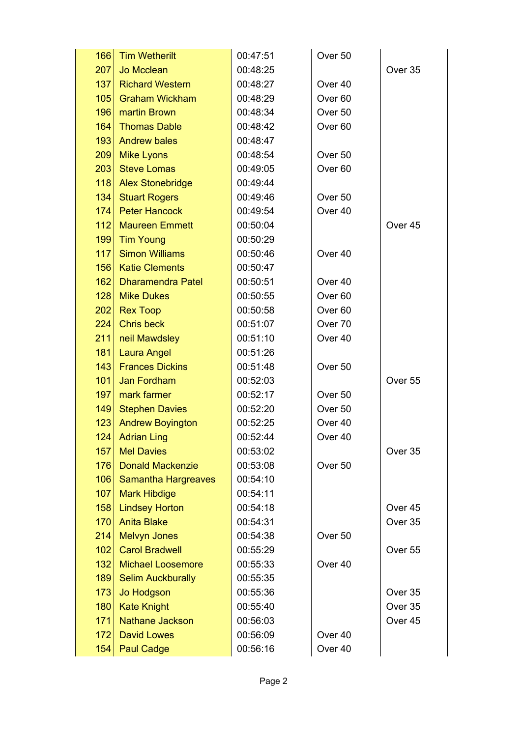| 166 | <b>Tim Wetherilt</b>       | 00:47:51 | Over 50            |                    |
|-----|----------------------------|----------|--------------------|--------------------|
| 207 | Jo Mcclean                 | 00:48:25 |                    | Over 35            |
| 137 | <b>Richard Western</b>     | 00:48:27 | Over 40            |                    |
| 105 | <b>Graham Wickham</b>      | 00:48:29 | Over <sub>60</sub> |                    |
| 196 | martin Brown               | 00:48:34 | Over <sub>50</sub> |                    |
| 164 | <b>Thomas Dable</b>        | 00:48:42 | Over <sub>60</sub> |                    |
| 193 | <b>Andrew bales</b>        | 00:48:47 |                    |                    |
| 209 | <b>Mike Lyons</b>          | 00:48:54 | Over <sub>50</sub> |                    |
| 203 | <b>Steve Lomas</b>         | 00:49:05 | Over <sub>60</sub> |                    |
| 118 | <b>Alex Stonebridge</b>    | 00:49:44 |                    |                    |
| 134 | <b>Stuart Rogers</b>       | 00:49:46 | Over <sub>50</sub> |                    |
| 174 | <b>Peter Hancock</b>       | 00:49:54 | Over 40            |                    |
| 112 | <b>Maureen Emmett</b>      | 00:50:04 |                    | Over <sub>45</sub> |
| 199 | <b>Tim Young</b>           | 00:50:29 |                    |                    |
| 117 | <b>Simon Williams</b>      | 00:50:46 | Over 40            |                    |
| 156 | <b>Katie Clements</b>      | 00:50:47 |                    |                    |
| 162 | <b>Dharamendra Patel</b>   | 00:50:51 | Over 40            |                    |
| 128 | <b>Mike Dukes</b>          | 00:50:55 | Over <sub>60</sub> |                    |
| 202 | <b>Rex Toop</b>            | 00:50:58 | Over <sub>60</sub> |                    |
| 224 | <b>Chris beck</b>          | 00:51:07 | Over 70            |                    |
| 211 | neil Mawdsley              | 00:51:10 | Over 40            |                    |
| 181 | <b>Laura Angel</b>         | 00:51:26 |                    |                    |
| 143 | <b>Frances Dickins</b>     | 00:51:48 | Over 50            |                    |
| 101 | Jan Fordham                | 00:52:03 |                    | Over 55            |
| 197 | mark farmer                | 00:52:17 | Over 50            |                    |
| 149 | <b>Stephen Davies</b>      | 00:52:20 | Over <sub>50</sub> |                    |
| 123 | <b>Andrew Boyington</b>    | 00:52:25 | Over 40            |                    |
| 124 | <b>Adrian Ling</b>         | 00:52:44 | Over 40            |                    |
| 157 | <b>Mel Davies</b>          | 00:53:02 |                    | Over 35            |
| 176 | <b>Donald Mackenzie</b>    | 00:53:08 | Over <sub>50</sub> |                    |
| 106 | <b>Samantha Hargreaves</b> | 00:54:10 |                    |                    |
| 107 | <b>Mark Hibdige</b>        | 00:54:11 |                    |                    |
| 158 | <b>Lindsey Horton</b>      | 00:54:18 |                    | Over <sub>45</sub> |
| 170 | <b>Anita Blake</b>         | 00:54:31 |                    | Over 35            |
| 214 | <b>Melvyn Jones</b>        | 00:54:38 | Over 50            |                    |
| 102 | <b>Carol Bradwell</b>      | 00:55:29 |                    | Over <sub>55</sub> |
| 132 | <b>Michael Loosemore</b>   | 00:55:33 | Over 40            |                    |
| 189 | <b>Selim Auckburally</b>   | 00:55:35 |                    |                    |
| 173 | <b>Jo Hodgson</b>          | 00:55:36 |                    | Over 35            |
| 180 | <b>Kate Knight</b>         | 00:55:40 |                    | Over 35            |
| 171 | <b>Nathane Jackson</b>     | 00:56:03 |                    | Over 45            |
| 172 | <b>David Lowes</b>         | 00:56:09 | Over 40            |                    |
| 154 | <b>Paul Cadge</b>          | 00:56:16 | Over 40            |                    |